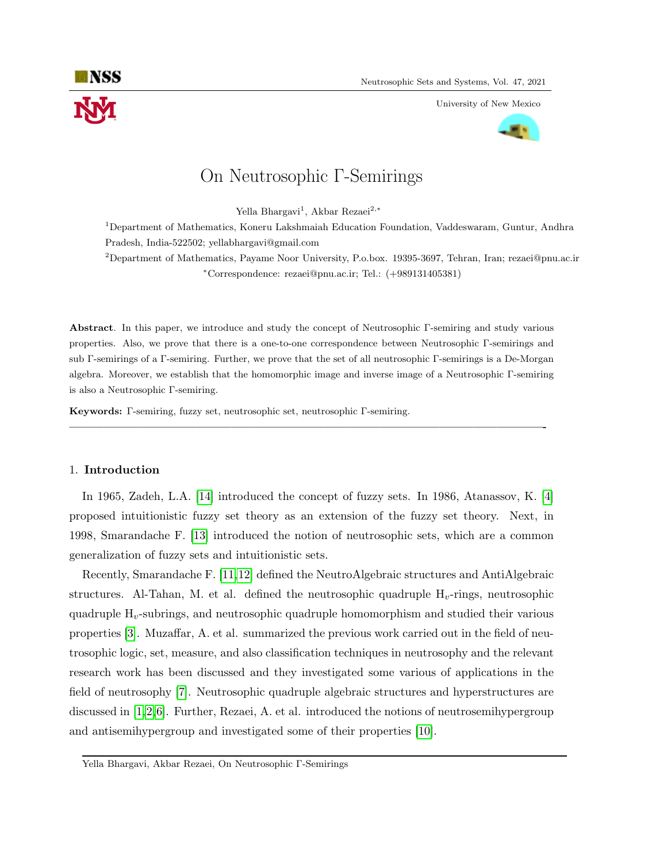

University of New Mexico



# On Neutrosophic Γ-Semirings

Yella Bhargavi<sup>1</sup>, Akbar Rezaei<sup>2,∗</sup>

<sup>1</sup>Department of Mathematics, Koneru Lakshmaiah Education Foundation, Vaddeswaram, Guntur, Andhra Pradesh, India-522502; yellabhargavi@gmail.com

<sup>2</sup>Department of Mathematics, Payame Noor University, P.o.box. 19395-3697, Tehran, Iran; rezaei@pnu.ac.ir <sup>∗</sup>Correspondence: rezaei@pnu.ac.ir; Tel.: (+989131405381)

Abstract. In this paper, we introduce and study the concept of Neutrosophic Γ-semiring and study various properties. Also, we prove that there is a one-to-one correspondence between Neutrosophic Γ-semirings and sub Γ-semirings of a Γ-semiring. Further, we prove that the set of all neutrosophic Γ-semirings is a De-Morgan algebra. Moreover, we establish that the homomorphic image and inverse image of a Neutrosophic Γ-semiring is also a Neutrosophic Γ-semiring.

—————————————————————————————————————————-

Keywords: Γ-semiring, fuzzy set, neutrosophic set, neutrosophic Γ-semiring.

#### 1. Introduction

In 1965, Zadeh, L.A. [\[14\]](#page-15-0) introduced the concept of fuzzy sets. In 1986, Atanassov, K. [\[4\]](#page-14-0) proposed intuitionistic fuzzy set theory as an extension of the fuzzy set theory. Next, in 1998, Smarandache F. [\[13\]](#page-15-1) introduced the notion of neutrosophic sets, which are a common generalization of fuzzy sets and intuitionistic sets.

Recently, Smarandache F. [\[11,](#page-15-2)[12\]](#page-15-3) defined the NeutroAlgebraic structures and AntiAlgebraic structures. Al-Tahan, M. et al. defined the neutrosophic quadruple  $H_v$ -rings, neutrosophic quadruple  $H_\nu$ -subrings, and neutrosophic quadruple homomorphism and studied their various properties [\[3\]](#page-14-1). Muzaffar, A. et al. summarized the previous work carried out in the field of neutrosophic logic, set, measure, and also classification techniques in neutrosophy and the relevant research work has been discussed and they investigated some various of applications in the field of neutrosophy [\[7\]](#page-15-4). Neutrosophic quadruple algebraic structures and hyperstructures are discussed in [\[1,](#page-14-2)[2,](#page-14-3)[6\]](#page-15-5). Further, Rezaei, A. et al. introduced the notions of neutrosemihypergroup and antisemihypergroup and investigated some of their properties [\[10\]](#page-15-6).

Yella Bhargavi, Akbar Rezaei, On Neutrosophic Γ-Semirings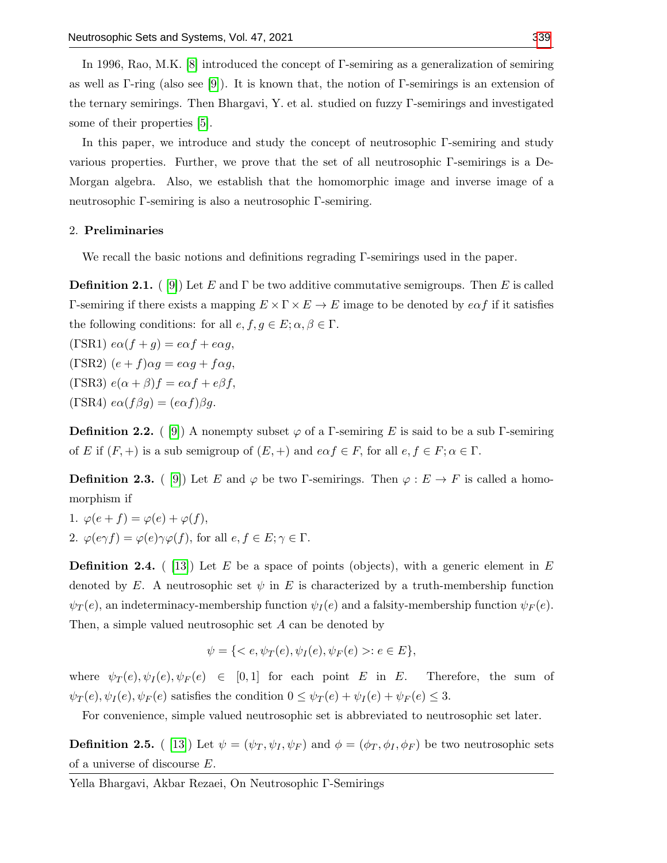In 1996, Rao, M.K. [\[8\]](#page-15-8) introduced the concept of Γ-semiring as a generalization of semiring as well as Γ-ring (also see [\[9\]](#page-15-9)). It is known that, the notion of Γ-semirings is an extension of the ternary semirings. Then Bhargavi, Y. et al. studied on fuzzy Γ-semirings and investigated some of their properties [\[5\]](#page-14-4).

In this paper, we introduce and study the concept of neutrosophic Γ-semiring and study various properties. Further, we prove that the set of all neutrosophic Γ-semirings is a De-Morgan algebra. Also, we establish that the homomorphic image and inverse image of a neutrosophic Γ-semiring is also a neutrosophic Γ-semiring.

### 2. Preliminaries

We recall the basic notions and definitions regrading Γ-semirings used in the paper.

**Definition 2.1.** ( [\[9\]](#page-15-9)) Let E and  $\Gamma$  be two additive commutative semigroups. Then E is called Γ-semiring if there exists a mapping  $E \times \Gamma \times E \to E$  image to be denoted by  $e \alpha f$  if it satisfies the following conditions: for all  $e, f, g \in E$ ;  $\alpha, \beta \in \Gamma$ .

(ΓSR1)  $e\alpha(f+g) = e\alpha f + e\alpha g$ , (ΓSR2)  $(e+f)\alpha g = e\alpha g + f\alpha g$ , (ΓSR3)  $e(\alpha + \beta)f = e\alpha f + e\beta f$ , (ΓSR4)  $e\alpha(f\beta g) = (e\alpha f)\beta g$ .

**Definition 2.2.** ( [\[9\]](#page-15-9)) A nonempty subset  $\varphi$  of a Γ-semiring E is said to be a sub Γ-semiring of E if  $(F, +)$  is a sub semigroup of  $(E, +)$  and  $e \alpha f \in F$ , for all  $e, f \in F$ ;  $\alpha \in \Gamma$ .

**Definition 2.3.** ( [\[9\]](#page-15-9)) Let E and  $\varphi$  be two Γ-semirings. Then  $\varphi : E \to F$  is called a homomorphism if

1.  $\varphi(e+f) = \varphi(e) + \varphi(f)$ , 2.  $\varphi(e\gamma f) = \varphi(e)\gamma\varphi(f)$ , for all  $e, f \in E; \gamma \in \Gamma$ .

**Definition 2.4.** (13) Let E be a space of points (objects), with a generic element in E denoted by E. A neutrosophic set  $\psi$  in E is characterized by a truth-membership function  $\psi_T(e)$ , an indeterminacy-membership function  $\psi_I(e)$  and a falsity-membership function  $\psi_F(e)$ . Then, a simple valued neutrosophic set A can be denoted by

$$
\psi = \{ \langle e, \psi_T(e), \psi_I(e), \psi_F(e) \rangle : e \in E \},\
$$

where  $\psi_T(e), \psi_I(e), \psi_F(e) \in [0,1]$  for each point E in E. Therefore, the sum of  $\psi_T(e), \psi_I(e), \psi_F(e)$  satisfies the condition  $0 \leq \psi_T(e) + \psi_I(e) + \psi_F(e) \leq 3$ .

For convenience, simple valued neutrosophic set is abbreviated to neutrosophic set later.

**Definition 2.5.** ( [\[13\]](#page-15-1)) Let  $\psi = (\psi_T, \psi_I, \psi_F)$  and  $\phi = (\phi_T, \phi_I, \phi_F)$  be two neutrosophic sets of a universe of discourse E.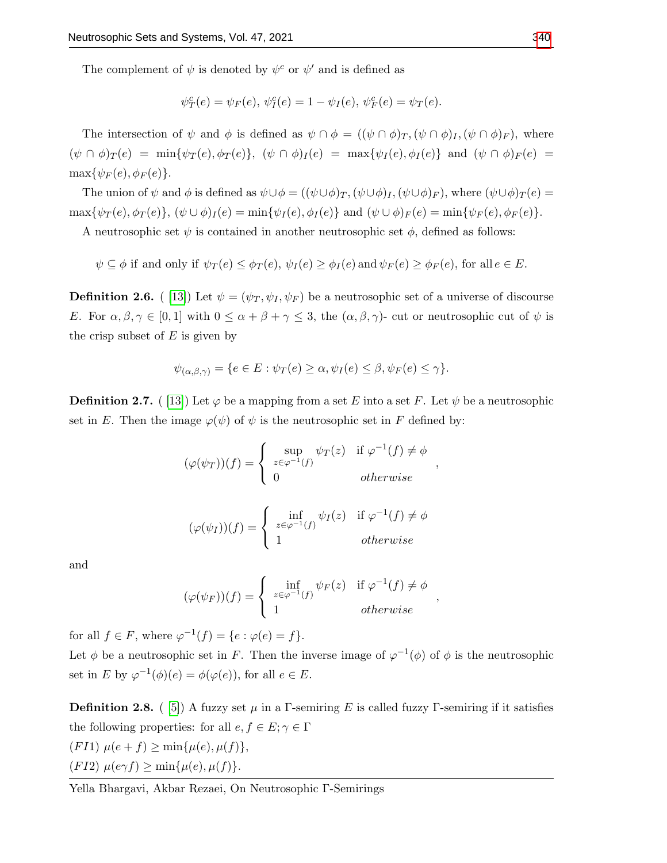The complement of  $\psi$  is denoted by  $\psi^c$  or  $\psi'$  and is defined as

$$
\psi_T^c(e) = \psi_F(e), \, \psi_I^c(e) = 1 - \psi_I(e), \, \psi_F^c(e) = \psi_T(e).
$$

The intersection of  $\psi$  and  $\phi$  is defined as  $\psi \cap \phi = ((\psi \cap \phi)_T, (\psi \cap \phi)_I, (\psi \cap \phi)_F)$ , where  $(\psi \cap \phi)_T(e) = \min{\psi_T(e), \phi_T(e)}, \ (\psi \cap \phi)_I(e) = \max{\psi_I(e), \phi_I(e)}$  and  $(\psi \cap \phi)_F(e) =$  $\max\{\psi_F(e), \phi_F(e)\}.$ 

The union of  $\psi$  and  $\phi$  is defined as  $\psi \cup \phi = ((\psi \cup \phi)_T, (\psi \cup \phi)_I, (\psi \cup \phi)_F)$ , where  $(\psi \cup \phi)_T (e)$  $\max{\psi_T(e), \phi_T(e)}, (\psi \cup \phi)_I(e) = \min{\psi_I(e), \phi_I(e)}$  and  $(\psi \cup \phi)_F(e) = \min{\psi_F(e), \phi_F(e)}$ .

A neutrosophic set  $\psi$  is contained in another neutrosophic set  $\phi$ , defined as follows:

 $\psi \subseteq \phi$  if and only if  $\psi_T(e) \leq \phi_T(e)$ ,  $\psi_I(e) \geq \phi_I(e)$  and  $\psi_F(e) \geq \phi_F(e)$ , for all  $e \in E$ .

**Definition 2.6.** ( [\[13\]](#page-15-1)) Let  $\psi = (\psi_T, \psi_I, \psi_F)$  be a neutrosophic set of a universe of discourse E. For  $\alpha, \beta, \gamma \in [0,1]$  with  $0 \leq \alpha + \beta + \gamma \leq 3$ , the  $(\alpha, \beta, \gamma)$ - cut or neutrosophic cut of  $\psi$  is the crisp subset of  $E$  is given by

$$
\psi_{(\alpha,\beta,\gamma)} = \{ e \in E : \psi_T(e) \ge \alpha, \psi_I(e) \le \beta, \psi_F(e) \le \gamma \}.
$$

**Definition 2.7.** ( [\[13\]](#page-15-1)) Let  $\varphi$  be a mapping from a set E into a set F. Let  $\psi$  be a neutrosophic set in E. Then the image  $\varphi(\psi)$  of  $\psi$  is the neutrosophic set in F defined by:

$$
(\varphi(\psi_T))(f) = \begin{cases} \sup_{z \in \varphi^{-1}(f)} \psi_T(z) & \text{if } \varphi^{-1}(f) \neq \phi \\ 0 & otherwise \end{cases}
$$

,

,

$$
(\varphi(\psi_I))(f) = \begin{cases} \inf_{z \in \varphi^{-1}(f)} \psi_I(z) & \text{if } \varphi^{-1}(f) \neq \phi \\ 1 & otherwise \end{cases}
$$

and

$$
(\varphi(\psi_F))(f) = \begin{cases} \inf_{z \in \varphi^{-1}(f)} \psi_F(z) & \text{if } \varphi^{-1}(f) \neq \phi \\ 1 & otherwise \end{cases}
$$

for all  $f \in F$ , where  $\varphi^{-1}(f) = \{e : \varphi(e) = f\}.$ 

Let  $\phi$  be a neutrosophic set in F. Then the inverse image of  $\varphi^{-1}(\phi)$  of  $\phi$  is the neutrosophic set in E by  $\varphi^{-1}(\phi)(e) = \phi(\varphi(e))$ , for all  $e \in E$ .

**Definition 2.8.** (5) A fuzzy set  $\mu$  in a Γ-semiring E is called fuzzy Γ-semiring if it satisfies the following properties: for all  $e, f \in E; \gamma \in \Gamma$ 

$$
(FI1) \ \mu(e+f) \ge \min\{\mu(e), \mu(f)\},\
$$

$$
(FI2) \ \mu(e\gamma f) \ge \min\{\mu(e), \mu(f)\}.
$$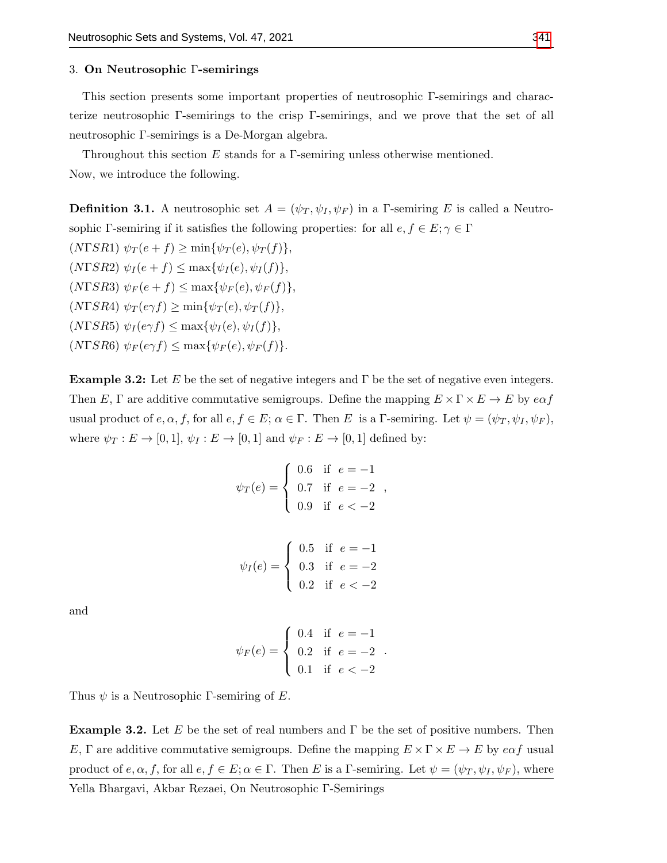#### 3. On Neutrosophic Γ-semirings

This section presents some important properties of neutrosophic Γ-semirings and characterize neutrosophic Γ-semirings to the crisp Γ-semirings, and we prove that the set of all neutrosophic Γ-semirings is a De-Morgan algebra.

Throughout this section E stands for a  $\Gamma$ -semiring unless otherwise mentioned. Now, we introduce the following.

**Definition 3.1.** A neutrosophic set  $A = (\psi_T, \psi_I, \psi_F)$  in a *Γ*-semiring *E* is called a Neutrosophic Γ-semiring if it satisfies the following properties: for all  $e, f \in E; \gamma \in \Gamma$ 

 $(N\Gamma SR1) \psi_T(e+f) \ge \min{\psi_T(e), \psi_T(f)},$ (NΓSR2)  $\psi_I(e+f) \leq \max{\psi_I(e), \psi_I(f)},$ (NΓSR3)  $\psi_F(e+f) \leq \max{\psi_F(e), \psi_F(f)},$  $(NFSR4) \psi_T(e\gamma f) \ge \min{\psi_T(e), \psi_T(f)},$  $(NFSR5) \psi_I(e \gamma f) \leq \max{\psi_I(e), \psi_I(f)},$ 

 $(NFSR6) \psi_F(e \gamma f) \leq \max{\psi_F(e), \psi_F(f)}.$ 

**Example 3.2:** Let E be the set of negative integers and  $\Gamma$  be the set of negative even integers. Then E,  $\Gamma$  are additive commutative semigroups. Define the mapping  $E \times \Gamma \times E \to E$  by  $e \alpha f$ usual product of  $e, \alpha, f$ , for all  $e, f \in E$ ;  $\alpha \in \Gamma$ . Then E is a *Γ*-semiring. Let  $\psi = (\psi_T, \psi_I, \psi_F)$ , where  $\psi_T : E \to [0,1], \psi_I : E \to [0,1]$  and  $\psi_F : E \to [0,1]$  defined by:

$$
\psi_T(e) = \begin{cases} 0.6 & \text{if } e = -1 \\ 0.7 & \text{if } e = -2 \\ 0.9 & \text{if } e < -2 \end{cases}
$$

,

|                                                                 |  | $\int 0.5$ if $e=-1$ |
|-----------------------------------------------------------------|--|----------------------|
| $\psi_I(e) = \begin{cases} 0.3 & \text{if } e = -2 \end{cases}$ |  |                      |
|                                                                 |  | 0.2 if $e < -2$      |

and

$$
\psi_F(e) = \begin{cases} 0.4 & \text{if } e = -1 \\ 0.2 & \text{if } e = -2 \\ 0.1 & \text{if } e < -2 \end{cases}.
$$

Thus  $\psi$  is a Neutrosophic Γ-semiring of E.

**Example 3.2.** Let E be the set of real numbers and  $\Gamma$  be the set of positive numbers. Then E,  $\Gamma$  are additive commutative semigroups. Define the mapping  $E \times \Gamma \times E \to E$  by  $e\alpha f$  usual product of  $e, \alpha, f$ , for all  $e, f \in E$ ;  $\alpha \in \Gamma$ . Then E is a *Γ*-semiring. Let  $\psi = (\psi_T, \psi_I, \psi_F)$ , where Yella Bhargavi, Akbar Rezaei, On Neutrosophic Γ-Semirings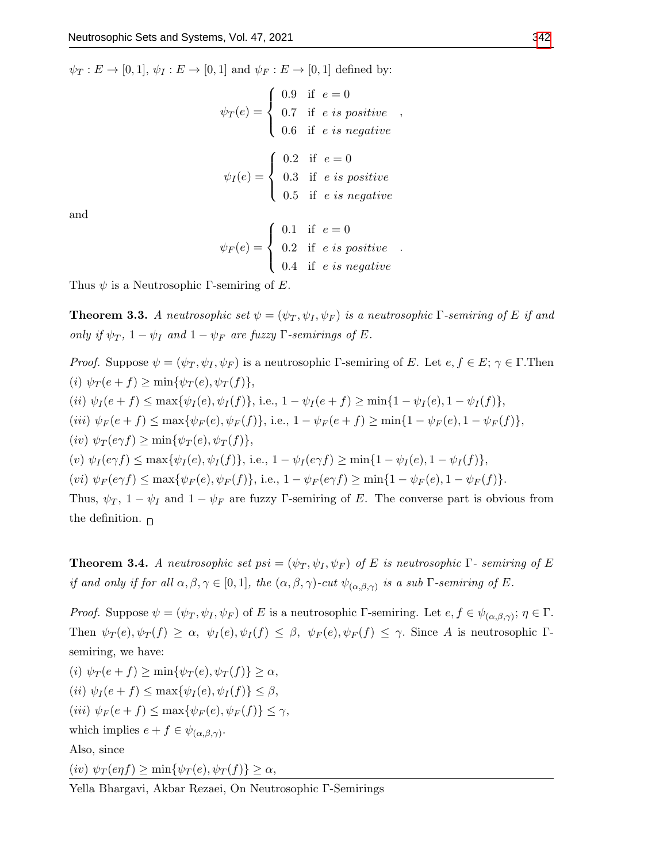$\psi_T : E \to [0,1], \psi_I : E \to [0,1]$  and  $\psi_F : E \to [0,1]$  defined by:

$$
\psi_T(e) = \begin{cases}\n0.9 & \text{if } e = 0 \\
0.7 & \text{if } e \text{ is positive} \\
0.6 & \text{if } e \text{ is negative}\n\end{cases}
$$
\n
$$
\psi_I(e) = \begin{cases}\n0.2 & \text{if } e = 0 \\
0.3 & \text{if } e \text{ is positive} \\
0.5 & \text{if } e \text{ is negative}\n\end{cases}
$$

and

$$
\psi_F(e) = \begin{cases} 0.1 & \text{if } e = 0 \\ 0.2 & \text{if } e \text{ is positive} \\ 0.4 & \text{if } e \text{ is negative} \end{cases}
$$

.

Thus  $\psi$  is a Neutrosophic Γ-semiring of E.

**Theorem 3.3.** A neutrosophic set  $\psi = (\psi_T, \psi_I, \psi_F)$  is a neutrosophic Γ-semiring of E if and only if  $\psi_T$ ,  $1 - \psi_I$  and  $1 - \psi_F$  are fuzzy  $\Gamma$ -semirings of E.

*Proof.* Suppose  $\psi = (\psi_T, \psi_I, \psi_F)$  is a neutrosophic Γ-semiring of E. Let  $e, f \in E$ ;  $\gamma \in \Gamma$ . Then (i)  $\psi_T(e+f) \ge \min{\psi_T(e), \psi_T(f)},$ (ii)  $\psi_I(e+f) \leq \max{\psi_I(e), \psi_I(f)}$ , i.e.,  $1 - \psi_I(e+f) \geq \min{\{1 - \psi_I(e), 1 - \psi_I(f)\}}$ , (iii)  $\psi_F(e+f) \leq \max{\psi_F(e), \psi_F(f)},$  i.e.,  $1 - \psi_F(e+f) \geq \min{1 - \psi_F(e), 1 - \psi_F(f)},$  $(iv) \psi_T(e\gamma f) \ge \min{\psi_T(e), \psi_T(f)},$ (v)  $\psi_I(e \gamma f) \leq \max{\psi_I(e), \psi_I(f)}$ , i.e.,  $1 - \psi_I(e \gamma f) \geq \min{\{1 - \psi_I(e), 1 - \psi_I(f)\}}$ , (vi)  $\psi_F(e \gamma f) \leq \max{\psi_F(e), \psi_F(f)},$  i.e.,  $1 - \psi_F(e \gamma f) \geq \min{\{1 - \psi_F(e), 1 - \psi_F(f)\}}.$ Thus,  $\psi_T$ ,  $1 - \psi_I$  and  $1 - \psi_F$  are fuzzy Γ-semiring of E. The converse part is obvious from the definition.  $\Box$ 

**Theorem 3.4.** A neutrosophic set psi =  $(\psi_T, \psi_I, \psi_F)$  of E is neutrosophic  $\Gamma$ - semiring of E if and only if for all  $\alpha, \beta, \gamma \in [0,1]$ , the  $(\alpha, \beta, \gamma)$ -cut  $\psi_{(\alpha, \beta, \gamma)}$  is a sub *Γ*-semiring of *E*.

*Proof.* Suppose  $\psi = (\psi_T, \psi_I, \psi_F)$  of E is a neutrosophic Γ-semiring. Let  $e, f \in \psi_{(\alpha,\beta,\gamma)}$ ;  $\eta \in \Gamma$ . Then  $\psi_T(e), \psi_T(f) \geq \alpha$ ,  $\psi_I(e), \psi_I(f) \leq \beta$ ,  $\psi_F(e), \psi_F(f) \leq \gamma$ . Since A is neutrosophic Γsemiring, we have:

(i)  $\psi_T(e+f) \ge \min{\psi_T(e), \psi_T(f)} \ge \alpha$ , (ii)  $\psi_I(e+f) \leq \max{\psi_I(e), \psi_I(f)} \leq \beta$ , (iii)  $\psi_F(e+f) \leq \max{\psi_F(e), \psi_F(f)} \leq \gamma$ , which implies  $e + f \in \psi_{(\alpha,\beta,\gamma)}$ . Also, since  $(iv) \psi_T(\mathit{enf}) \ge \min{\psi_T(e), \psi_T(f)} \ge \alpha,$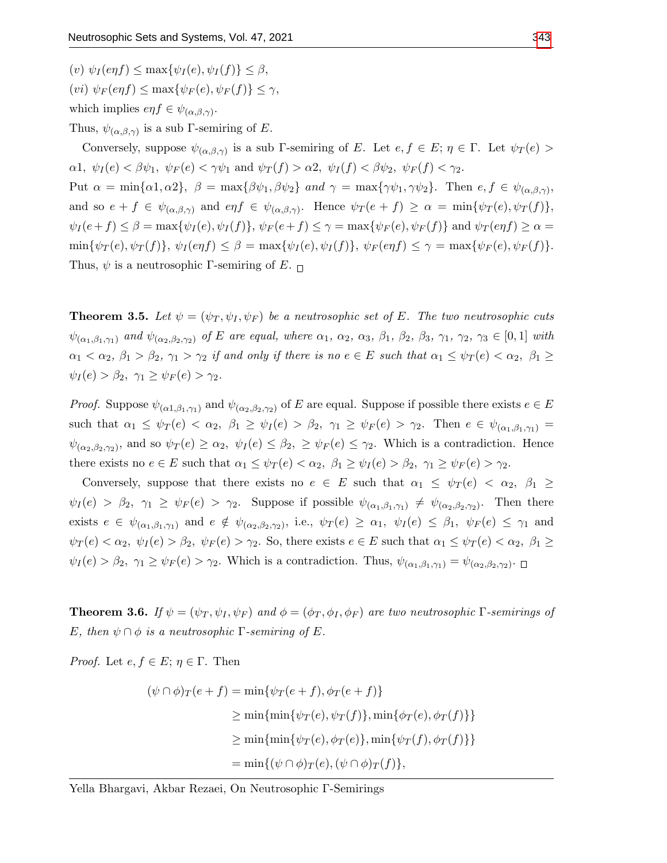(v)  $\psi_I(\mathit{enf}) \leq \max{\psi_I(e), \psi_I(f)} \leq \beta$ , (vi)  $\psi_F(\mathit{enf}) \leq \max{\psi_F(e), \psi_F(f)} \leq \gamma$ , which implies  $e\eta f \in \psi_{(\alpha,\beta,\gamma)}$ .

Thus,  $\psi_{(\alpha,\beta,\gamma)}$  is a sub Γ-semiring of E.

Conversely, suppose  $\psi_{(\alpha,\beta,\gamma)}$  is a sub Γ-semiring of E. Let  $e, f \in E$ ;  $\eta \in \Gamma$ . Let  $\psi_T(e)$  $\alpha$ 1,  $\psi_I(e) < \beta \psi_1$ ,  $\psi_F(e) < \gamma \psi_1$  and  $\psi_T(f) > \alpha$ 2,  $\psi_I(f) < \beta \psi_2$ ,  $\psi_F(f) < \gamma_2$ . Put  $\alpha = \min{\{\alpha 1, \alpha 2\}}, \ \beta = \max{\{\beta \psi_1, \beta \psi_2\}} \ and \ \gamma = \max{\{\gamma \psi_1, \gamma \psi_2\}}.$  Then  $e, f \in \psi_{(\alpha, \beta, \gamma)},$ and so  $e + f \in \psi_{(\alpha,\beta,\gamma)}$  and  $e\eta f \in \psi_{(\alpha,\beta,\gamma)}$ . Hence  $\psi_T(e + f) \geq \alpha = \min{\{\psi_T(e), \psi_T(f)\}},$  $\psi_I(e+f) \leq \beta = \max{\psi_I(e), \psi_I(f)}$ ,  $\psi_F(e+f) \leq \gamma = \max{\psi_F(e), \psi_F(f)}$  and  $\psi_T(eqf) \geq \alpha =$  $\min{\psi_T(e), \psi_T(f)}, \psi_I(enf) \leq \beta = \max{\psi_I(e), \psi_I(f)}, \psi_F(enf) \leq \gamma = \max{\psi_F(e), \psi_F(f)}.$ Thus,  $\psi$  is a neutrosophic Γ-semiring of E.  $\Box$ 

**Theorem 3.5.** Let  $\psi = (\psi_T, \psi_I, \psi_F)$  be a neutrosophic set of E. The two neutrosophic cuts  $\psi_{(\alpha_1,\beta_1,\gamma_1)}$  and  $\psi_{(\alpha_2,\beta_2,\gamma_2)}$  of E are equal, where  $\alpha_1, \alpha_2, \alpha_3, \beta_1, \beta_2, \beta_3, \gamma_1, \gamma_2, \gamma_3 \in [0,1]$  with  $\alpha_1 < \alpha_2, \beta_1 > \beta_2, \gamma_1 > \gamma_2$  if and only if there is no  $e \in E$  such that  $\alpha_1 \leq \psi_T(e) < \alpha_2, \beta_1 \geq$  $\psi_I(e) > \beta_2, \ \gamma_1 \geq \psi_F(e) > \gamma_2.$ 

*Proof.* Suppose  $\psi_{(\alpha_1,\beta_1,\gamma_1)}$  and  $\psi_{(\alpha_2,\beta_2,\gamma_2)}$  of E are equal. Suppose if possible there exists  $e \in E$ such that  $\alpha_1 \leq \psi_T(e) < \alpha_2$ ,  $\beta_1 \geq \psi_T(e) > \beta_2$ ,  $\gamma_1 \geq \psi_F(e) > \gamma_2$ . Then  $e \in \psi_{(\alpha_1,\beta_1,\gamma_1)}$  $\psi_{(\alpha_2,\beta_2,\gamma_2)}$ , and so  $\psi_T(e) \ge \alpha_2$ ,  $\psi_I(e) \le \beta_2$ ,  $\ge \psi_F(e) \le \gamma_2$ . Which is a contradiction. Hence there exists no  $e \in E$  such that  $\alpha_1 \leq \psi_T(e) < \alpha_2$ ,  $\beta_1 \geq \psi_I(e) > \beta_2$ ,  $\gamma_1 \geq \psi_F(e) > \gamma_2$ .

Conversely, suppose that there exists no  $e \in E$  such that  $\alpha_1 \leq \psi_T(e) < \alpha_2, \ \beta_1 \geq$  $\psi_I(e) > \beta_2, \gamma_1 \ge \psi_F(e) > \gamma_2$ . Suppose if possible  $\psi_{(\alpha_1,\beta_1,\gamma_1)} \ne \psi_{(\alpha_2,\beta_2,\gamma_2)}$ . Then there exists  $e \in \psi_{(\alpha_1,\beta_1,\gamma_1)}$  and  $e \notin \psi_{(\alpha_2,\beta_2,\gamma_2)}$ , i.e.,  $\psi_T(e) \geq \alpha_1$ ,  $\psi_I(e) \leq \beta_1$ ,  $\psi_F(e) \leq \gamma_1$  and  $\psi_T(e) < \alpha_2, \ \psi_I(e) > \beta_2, \ \psi_F(e) > \gamma_2$ . So, there exists  $e \in E$  such that  $\alpha_1 \leq \psi_T(e) < \alpha_2, \ \beta_1 \geq$  $\psi_I(e) > \beta_2, \ \gamma_1 \ge \psi_F(e) > \gamma_2.$  Which is a contradiction. Thus,  $\psi_{(\alpha_1, \beta_1, \gamma_1)} = \psi_{(\alpha_2, \beta_2, \gamma_2)}$ .

**Theorem 3.6.** If  $\psi = (\psi_T, \psi_I, \psi_F)$  and  $\phi = (\phi_T, \phi_I, \phi_F)$  are two neutrosophic  $\Gamma$ -semirings of E, then  $\psi \cap \phi$  is a neutrosophic  $\Gamma$ -semiring of E.

*Proof.* Let  $e, f \in E$ ;  $\eta \in \Gamma$ . Then

$$
(\psi \cap \phi)_T(e+f) = \min{\psi_T(e+f), \phi_T(e+f)}
$$
  
\n
$$
\geq \min{\{\min{\psi_T(e), \psi_T(f)\}}, \min{\phi_T(e), \phi_T(f)\}}
$$
  
\n
$$
\geq \min{\{\min{\psi_T(e), \phi_T(e)\}}, \min{\psi_T(f), \phi_T(f)\}}
$$
  
\n
$$
= \min{\{\psi \cap \phi)_T(e), (\psi \cap \phi)_T(f)\}},
$$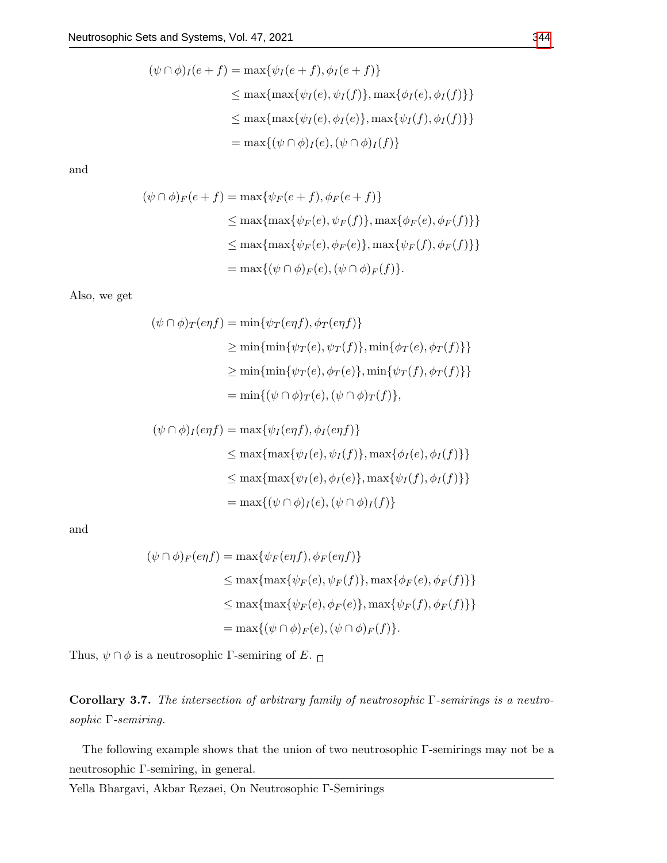$$
(\psi \cap \phi)_I(e+f) = \max{\psi_I(e+f), \phi_I(e+f)}
$$
  
\n
$$
\leq \max{\max{\psi_I(e), \psi_I(f)}, \max{\phi_I(e), \phi_I(f)} }
$$
  
\n
$$
\leq \max{\max{\psi_I(e), \phi_I(e)}, \max{\psi_I(f), \phi_I(f)} }
$$
  
\n
$$
= \max{\{\psi \cap \phi)_I(e), (\psi \cap \phi)_I(f)\}}
$$

$$
(\psi \cap \phi)_F(e+f) = \max{\psi_F(e+f), \phi_F(e+f)}
$$
  
\n
$$
\leq \max{\max{\psi_F(e), \psi_F(f)}, \max{\phi_F(e), \phi_F(f)} }
$$
  
\n
$$
\leq \max{\max{\psi_F(e), \phi_F(e)}, \max{\psi_F(f), \phi_F(f)} }
$$
  
\n
$$
= \max{\{\psi \cap \phi\}_F(e), (\psi \cap \phi)_F(f)\}}.
$$

Also, we get

$$
(\psi \cap \phi)_T(eqf) = \min{\psi_T(eqf), \phi_T(eqf)}\ge \min{\min{\psi_T(e), \psi_T(f)}, \min{\phi_T(e), \phi_T(f)}\ge \min{\min{\psi_T(e), \phi_T(f)}, \min{\psi_T(f), \phi_T(f)}\ge \min{\min{\psi_T(e), \phi_T(e)}, \min{\psi_T(f), \phi_T(f)}\n= \min{\{\psi \cap \phi)_T(e), (\psi \cap \phi)_T(f)\}},
$$

$$
(\psi \cap \phi)_I(eqf) = \max{\psi_I(eqf), \phi_I(eqf)}\leq \max{\max{\psi_I(e), \psi_I(f)}, \max{\phi_I(e), \phi_I(f)}\leq \max{\max{\psi_I(e), \phi_I(e)}, \max{\psi_I(f), \phi_I(f)}= \max{\psi \cap \phi_I(e), (\psi \cap \phi_I(f))}
$$

and

$$
(\psi \cap \phi)_F(eqf) = \max{\psi_F(eqf), \phi_F(eqf)}\n\n\leq \max{\max{\psi_F(e), \psi_F(f)}, \max{\phi_F(e), \phi_F(f)}\n\n\leq \max{\max{\psi_F(e), \phi_F(e)}, \max{\psi_F(f), \phi_F(f)}\n\n= \max{\psi \cap \phi_F(e), (\psi \cap \phi_F(f))}.
$$

Thus,  $\psi \cap \phi$  is a neutrosophic Γ-semiring of E.  $\Box$ 

Corollary 3.7. The intersection of arbitrary family of neutrosophic Γ-semirings is a neutrosophic Γ-semiring.

The following example shows that the union of two neutrosophic Γ-semirings may not be a neutrosophic Γ-semiring, in general.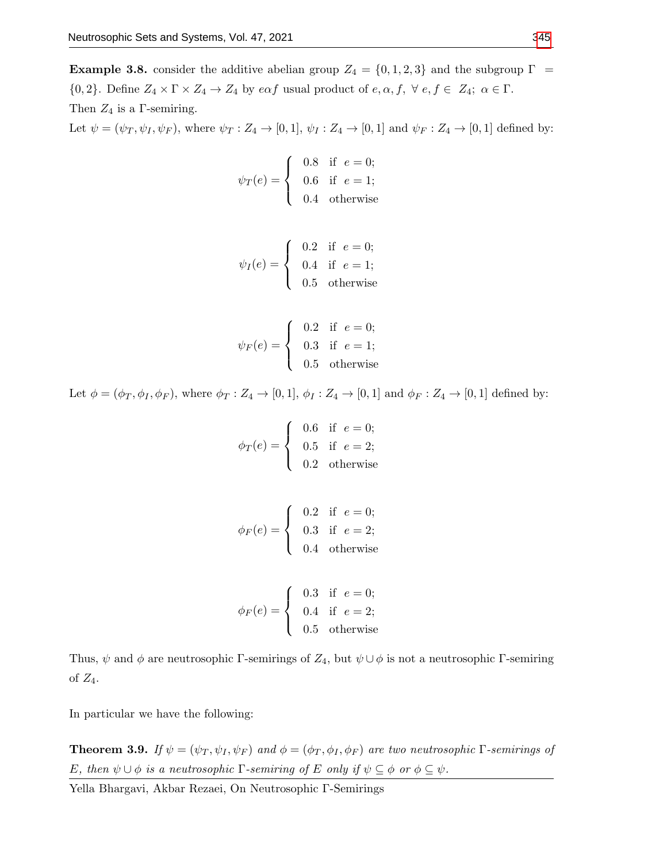**Example 3.8.** consider the additive abelian group  $Z_4 = \{0, 1, 2, 3\}$  and the subgroup  $\Gamma$  ${0, 2}$ . Define  $Z_4 \times \Gamma \times Z_4 \to Z_4$  by  $e\alpha f$  usual product of  $e, \alpha, f, \forall e, f \in Z_4$ ;  $\alpha \in \Gamma$ . Then  $Z_4$  is a  $\Gamma$ -semiring.

Let  $\psi = (\psi_T, \psi_I, \psi_F)$ , where  $\psi_T : Z_4 \to [0, 1]$ ,  $\psi_I : Z_4 \to [0, 1]$  and  $\psi_F : Z_4 \to [0, 1]$  defined by:

$$
\psi_T(e) = \begin{cases}\n0.8 & \text{if } e = 0; \\
0.6 & \text{if } e = 1; \\
0.4 & \text{otherwise}\n\end{cases}
$$

$$
\psi_I(e) = \begin{cases} 0.2 & \text{if } e = 0; \\ 0.4 & \text{if } e = 1; \\ 0.5 & \text{otherwise} \end{cases}
$$

$$
\psi_F(e) = \begin{cases} 0.2 & \text{if } e = 0; \\ 0.3 & \text{if } e = 1; \\ 0.5 & \text{otherwise} \end{cases}
$$

Let  $\phi = (\phi_T, \phi_I, \phi_F)$ , where  $\phi_T : Z_4 \to [0, 1]$ ,  $\phi_I : Z_4 \to [0, 1]$  and  $\phi_F : Z_4 \to [0, 1]$  defined by:

$$
\phi_T(e) = \begin{cases} 0.6 & \text{if } e = 0; \\ 0.5 & \text{if } e = 2; \\ 0.2 & \text{otherwise} \end{cases}
$$

$$
\phi_F(e) = \begin{cases} 0.2 & \text{if } e = 0; \\ 0.3 & \text{if } e = 2; \\ 0.4 & \text{otherwise} \end{cases}
$$

$$
\phi_F(e) = \begin{cases}\n0.3 & \text{if } e = 0; \\
0.4 & \text{if } e = 2; \\
0.5 & \text{otherwise}\n\end{cases}
$$

Thus,  $\psi$  and  $\phi$  are neutrosophic Γ-semirings of  $Z_4$ , but  $\psi \cup \phi$  is not a neutrosophic Γ-semiring of  $Z_4$ .

In particular we have the following:

**Theorem 3.9.** If  $\psi = (\psi_T, \psi_I, \psi_F)$  and  $\phi = (\phi_T, \phi_I, \phi_F)$  are two neutrosophic Γ-semirings of E, then  $\psi \cup \phi$  is a neutrosophic  $\Gamma$ -semiring of E only if  $\psi \subseteq \phi$  or  $\phi \subseteq \psi$ .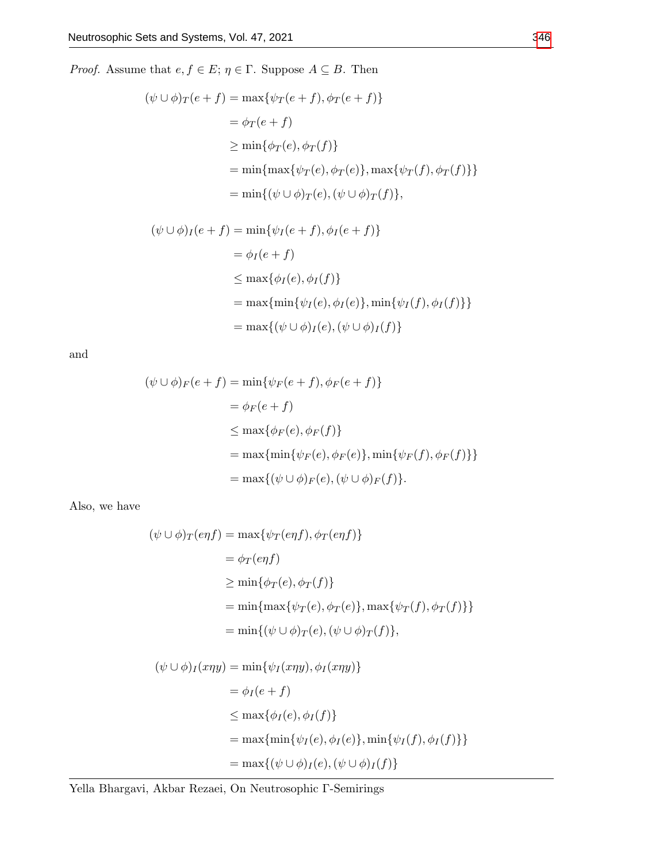*Proof.* Assume that  $e, f \in E$ ;  $\eta \in \Gamma$ . Suppose  $A \subseteq B$ . Then

$$
(\psi \cup \phi)_T(e+f) = \max{\psi_T(e+f), \phi_T(e+f)}
$$
  
=  $\phi_T(e+f)$   

$$
\geq \min{\phi_T(e), \phi_T(f)}
$$
  

$$
= \min{\max{\psi_T(e), \phi_T(e)}, \max{\psi_T(f), \phi_T(f)} }
$$
  

$$
= \min{\{\psi \cup \phi)_T(e), (\psi \cup \phi)_T(f)\}},
$$

$$
(\psi \cup \phi)_I(e+f) = \min{\psi_I(e+f), \phi_I(e+f)}
$$
  
\n
$$
= \phi_I(e+f)
$$
  
\n
$$
\leq \max{\phi_I(e), \phi_I(f)}
$$
  
\n
$$
= \max{\min{\psi_I(e), \phi_I(e)}, \min{\psi_I(f), \phi_I(f)} }
$$
  
\n
$$
= \max{\{\psi \cup \phi\}_I(e), (\psi \cup \phi)_I(f)\}}
$$

and

$$
(\psi \cup \phi)_F(e+f) = \min{\psi_F(e+f), \phi_F(e+f)}
$$
  
\n
$$
= \phi_F(e+f)
$$
  
\n
$$
\leq \max{\phi_F(e), \phi_F(f)}
$$
  
\n
$$
= \max{\min{\psi_F(e), \phi_F(e)}, \min{\psi_F(f), \phi_F(f)} }
$$
  
\n
$$
= \max{\{\psi \cup \phi\}_F(e), (\psi \cup \phi)_F(f)\}}.
$$

Also, we have

$$
(\psi \cup \phi)_T(eqf) = \max{\psi_T(eqf), \phi_T(eqf)}\n= \phi_T(eqf)\n\ge \min{\phi_T(e), \phi_T(f)}\n= \min{\max{\psi_T(e), \phi_T(e)}, \max{\psi_T(f), \phi_T(f)}\n= \min{\{\psi \cup \phi\}_T(e), (\psi \cup \phi)_T(f)\}},
$$

$$
(\psi \cup \phi)_I(x\eta y) = \min{\psi_I(x\eta y), \phi_I(x\eta y)}
$$
  
\n
$$
= \phi_I(e + f)
$$
  
\n
$$
\leq \max{\phi_I(e), \phi_I(f)}
$$
  
\n
$$
= \max{\min{\psi_I(e), \phi_I(e)}, \min{\psi_I(f), \phi_I(f)} }
$$
  
\n
$$
= \max{\{\psi \cup \phi\}_I(e), (\psi \cup \phi)_I(f)\}}
$$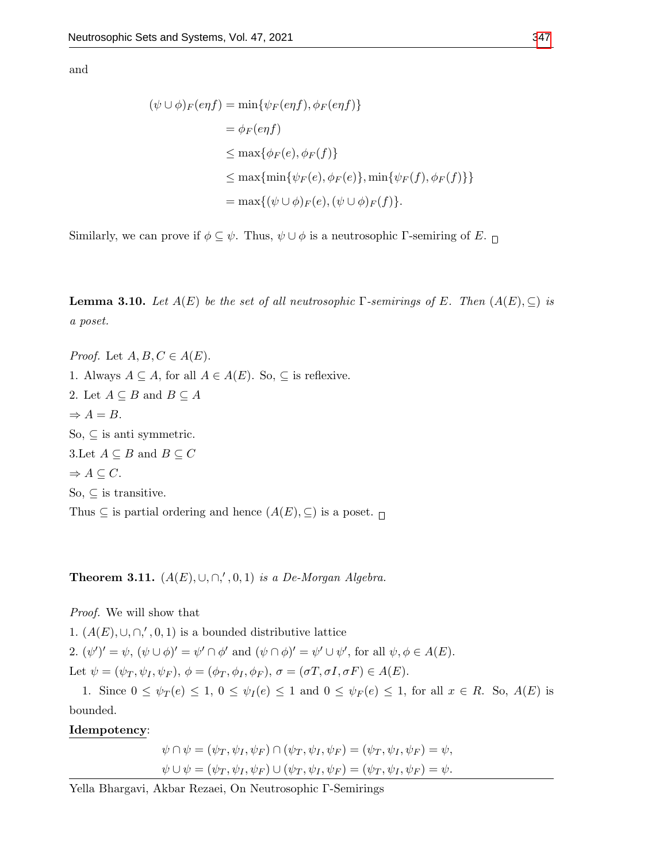$$
(\psi \cup \phi)_F(eqf) = \min{\psi_F(eqf), \phi_F(eqf)}\n= \phi_F(eqf)\n\le \max{\phi_F(e), \phi_F(f)}\n\le \max{\min{\psi_F(e), \phi_F(e)}, \min{\psi_F(f), \phi_F(f)}\n= \max{\{\psi \cup \phi\}_F(e), (\psi \cup \phi)_F(f)\}}.
$$

Similarly, we can prove if  $\phi \subseteq \psi$ . Thus,  $\psi \cup \phi$  is a neutrosophic Γ-semiring of E.  $\Box$ 

**Lemma 3.10.** Let  $A(E)$  be the set of all neutrosophic Γ-semirings of E. Then  $(A(E), \subseteq)$  is a poset.

*Proof.* Let  $A, B, C \in A(E)$ . 1. Always  $A \subseteq A$ , for all  $A \in A(E)$ . So,  $\subseteq$  is reflexive. 2. Let  $A \subseteq B$  and  $B \subseteq A$  $\Rightarrow$  A = B. So,  $\subseteq$  is anti-symmetric. 3.Let  $A \subseteq B$  and  $B \subseteq C$  $\Rightarrow A \subseteq C$ . So,  $\subseteq$  is transitive. Thus  $\subseteq$  is partial ordering and hence  $(A(E), \subseteq)$  is a poset.  $\sqcap$ 

Theorem 3.11.  $(A(E), \cup, \cap, ', 0, 1)$  is a De-Morgan Algebra.

Proof. We will show that

1.  $(A(E), \cup, \cap, ', 0, 1)$  is a bounded distributive lattice 2.  $(\psi')' = \psi$ ,  $(\psi \cup \phi)' = \psi' \cap \phi'$  and  $(\psi \cap \phi)' = \psi' \cup \psi'$ , for all  $\psi, \phi \in A(E)$ . Let  $\psi = (\psi_T, \psi_I, \psi_F), \phi = (\phi_T, \phi_I, \phi_F), \sigma = (\sigma T, \sigma I, \sigma F) \in A(E).$ 

1. Since  $0 \leq \psi_T(e) \leq 1$ ,  $0 \leq \psi_I(e) \leq 1$  and  $0 \leq \psi_F(e) \leq 1$ , for all  $x \in R$ . So,  $A(E)$  is bounded.

Idempotency:

$$
\psi \cap \psi = (\psi_T, \psi_I, \psi_F) \cap (\psi_T, \psi_I, \psi_F) = (\psi_T, \psi_I, \psi_F) = \psi,
$$
  

$$
\psi \cup \psi = (\psi_T, \psi_I, \psi_F) \cup (\psi_T, \psi_I, \psi_F) = (\psi_T, \psi_I, \psi_F) = \psi.
$$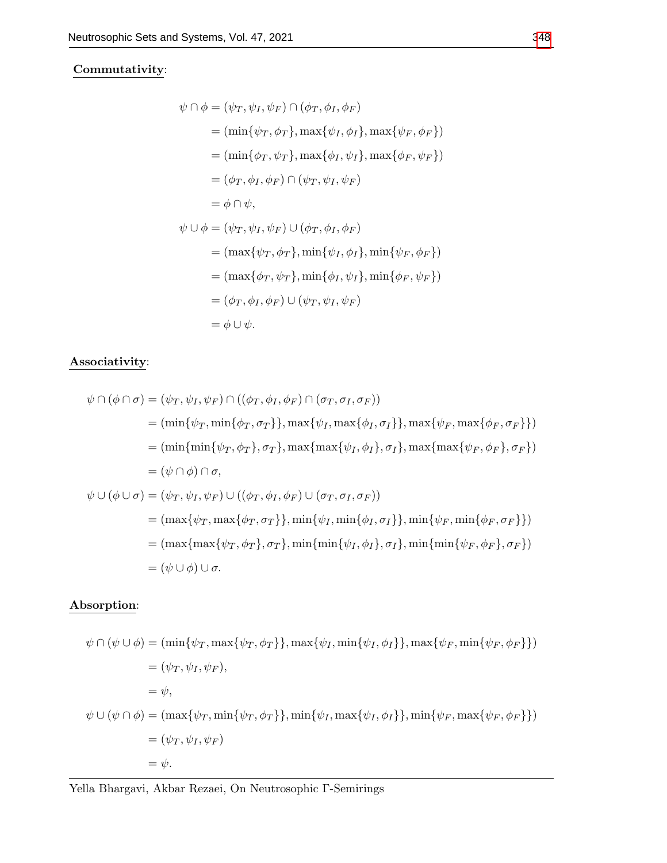### Commutativity:

$$
\psi \cap \phi = (\psi_T, \psi_I, \psi_F) \cap (\phi_T, \phi_I, \phi_F)
$$
  
\n
$$
= (\min{\psi_T, \phi_T}, \max{\psi_I, \phi_I}, \max{\psi_F, \phi_F})
$$
  
\n
$$
= (\min{\phi_T, \psi_T}, \max{\phi_I, \psi_I}, \max{\phi_F, \psi_F})
$$
  
\n
$$
= (\phi_T, \phi_I, \phi_F) \cap (\psi_T, \psi_I, \psi_F)
$$
  
\n
$$
= \phi \cap \psi,
$$
  
\n
$$
\psi \cup \phi = (\psi_T, \psi_I, \psi_F) \cup (\phi_T, \phi_I, \phi_F)
$$
  
\n
$$
= (\max{\psi_T, \phi_T}, \min{\psi_I, \phi_I}, \min{\psi_F, \phi_F})
$$
  
\n
$$
= (\max{\phi_T, \psi_T}, \min{\phi_I, \psi_I}, \min{\phi_F, \psi_F})
$$
  
\n
$$
= (\phi_T, \phi_I, \phi_F) \cup (\psi_T, \psi_I, \psi_F)
$$
  
\n
$$
= \phi \cup \psi.
$$

## Associativity:

$$
\psi \cap (\phi \cap \sigma) = (\psi_T, \psi_I, \psi_F) \cap ((\phi_T, \phi_I, \phi_F) \cap (\sigma_T, \sigma_I, \sigma_F))
$$
  
\n
$$
= (\min\{\psi_T, \min\{\phi_T, \sigma_T\}\}, \max\{\psi_I, \max\{\phi_I, \sigma_I\}\}, \max\{\psi_F, \max\{\phi_F, \sigma_F\}\})
$$
  
\n
$$
= (\min\{\min\{\psi_T, \phi_T\}, \sigma_T\}, \max\{\max\{\psi_I, \phi_I\}, \sigma_I\}, \max\{\max\{\psi_F, \phi_F\}, \sigma_F\})
$$
  
\n
$$
= (\psi \cap \phi) \cap \sigma,
$$
  
\n
$$
\psi \cup (\phi \cup \sigma) = (\psi_T, \psi_I, \psi_F) \cup ((\phi_T, \phi_I, \phi_F) \cup (\sigma_T, \sigma_I, \sigma_F))
$$
  
\n
$$
= (\max\{\psi_T, \max\{\phi_T, \sigma_T\}\}, \min\{\psi_I, \min\{\phi_I, \sigma_I\}\}, \min\{\psi_F, \min\{\phi_F, \sigma_F\}\})
$$
  
\n
$$
= (\max\{\max\{\psi_T, \phi_T\}, \sigma_T\}, \min\{\min\{\psi_I, \phi_I\}, \sigma_I\}, \min\{\min\{\psi_F, \phi_F\}, \sigma_F\})
$$
  
\n
$$
= (\psi \cup \phi) \cup \sigma.
$$

### Absorption:

$$
\psi \cap (\psi \cup \phi) = (\min{\psi_T, \max{\psi_T, \phi_T}}, \max{\psi_I, \min{\psi_I, \phi_I}}, \max{\psi_F, \min{\psi_F, \phi_F}})
$$
  
\n
$$
= (\psi_T, \psi_I, \psi_F),
$$
  
\n
$$
= \psi,
$$
  
\n
$$
\psi \cup (\psi \cap \phi) = (\max{\psi_T, \min{\psi_T, \phi_T}}, \min{\psi_I, \max{\psi_I, \phi_I}}, \min{\psi_F, \max{\psi_F, \phi_F}})
$$
  
\n
$$
= (\psi_T, \psi_I, \psi_F)
$$
  
\n
$$
= \psi.
$$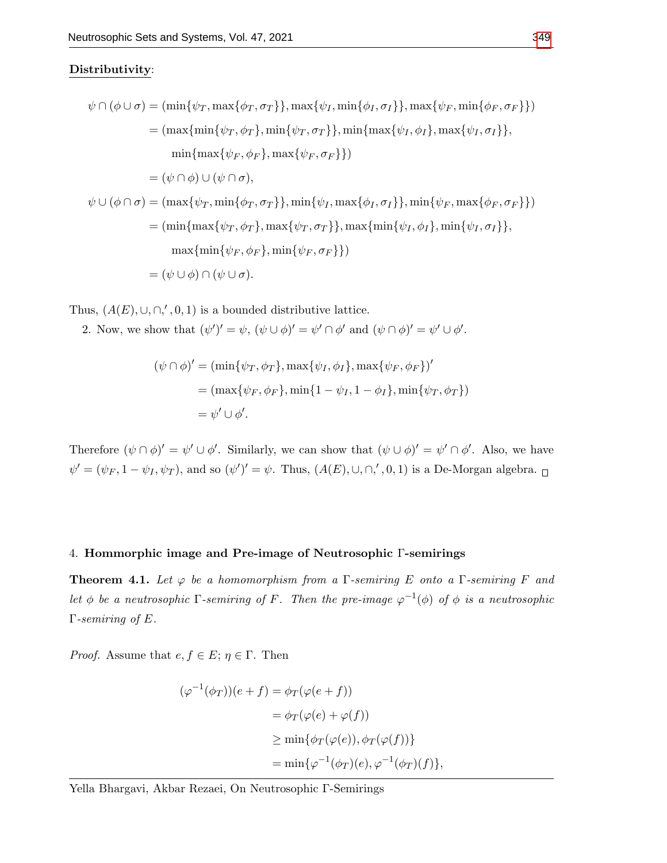### Distributivity:

$$
\psi \cap (\phi \cup \sigma) = (\min\{\psi_T, \max\{\phi_T, \sigma_T\}\}, \max\{\psi_I, \min\{\phi_I, \sigma_I\}\}, \max\{\psi_F, \min\{\phi_F, \sigma_F\}\})
$$
  
\n
$$
= (\max\{\min\{\psi_T, \phi_T\}, \min\{\psi_T, \sigma_T\}\}, \min\{\max\{\psi_I, \phi_I\}, \max\{\psi_I, \sigma_I\}\},
$$
  
\n
$$
\min\{\max\{\psi_F, \phi_F\}, \max\{\psi_F, \sigma_F\}\})
$$
  
\n
$$
= (\psi \cap \phi) \cup (\psi \cap \sigma),
$$
  
\n
$$
\psi \cup (\phi \cap \sigma) = (\max\{\psi_T, \min\{\phi_T, \sigma_T\}\}, \min\{\psi_I, \max\{\phi_I, \sigma_I\}\}, \min\{\psi_F, \max\{\phi_F, \sigma_F\}\})
$$
  
\n
$$
= (\min\{\max\{\psi_T, \phi_T\}, \max\{\psi_T, \sigma_T\}\}, \max\{\min\{\psi_I, \phi_I\}, \min\{\psi_I, \sigma_I\}\},
$$
  
\n
$$
\max\{\min\{\psi_F, \phi_F\}, \min\{\psi_F, \sigma_F\}\})
$$
  
\n
$$
= (\psi \cup \phi) \cap (\psi \cup \sigma).
$$

Thus,  $(A(E), \cup, \cap, ', 0, 1)$  is a bounded distributive lattice.

2. Now, we show that  $(\psi')' = \psi$ ,  $(\psi \cup \phi)' = \psi' \cap \phi'$  and  $(\psi \cap \phi)' = \psi' \cup \phi'$ .

$$
(\psi \cap \phi)' = (\min{\psi_T, \phi_T}, \max{\psi_I, \phi_I}, \max{\psi_F, \phi_F})'
$$
  
= 
$$
(\max{\psi_F, \phi_F}, \min{\{1 - \psi_I, 1 - \phi_I\}}, \min{\psi_T, \phi_T}\})
$$
  
= 
$$
\psi' \cup \phi'.
$$

Therefore  $(\psi \cap \phi)' = \psi' \cup \phi'$ . Similarly, we can show that  $(\psi \cup \phi)' = \psi' \cap \phi'$ . Also, we have  $\psi' = (\psi_F, 1 - \psi_I, \psi_T)$ , and so  $(\psi')' = \psi$ . Thus,  $(A(E), \cup, \cap, ', 0, 1)$  is a De-Morgan algebra.

### 4. Hommorphic image and Pre-image of Neutrosophic Γ-semirings

**Theorem 4.1.** Let  $\varphi$  be a homomorphism from a  $\Gamma$ -semiring E onto a  $\Gamma$ -semiring F and let  $\phi$  be a neutrosophic  $\Gamma$ -semiring of F. Then the pre-image  $\varphi^{-1}(\phi)$  of  $\phi$  is a neutrosophic Γ-semiring of E.

*Proof.* Assume that  $e, f \in E$ ;  $\eta \in \Gamma$ . Then

$$
(\varphi^{-1}(\phi_T))(e+f) = \phi_T(\varphi(e+f))
$$
  
=  $\phi_T(\varphi(e) + \varphi(f))$   
 $\ge \min{\phi_T(\varphi(e)), \phi_T(\varphi(f))}$   
 $= \min{\varphi^{-1}(\phi_T)(e), \varphi^{-1}(\phi_T)(f)},$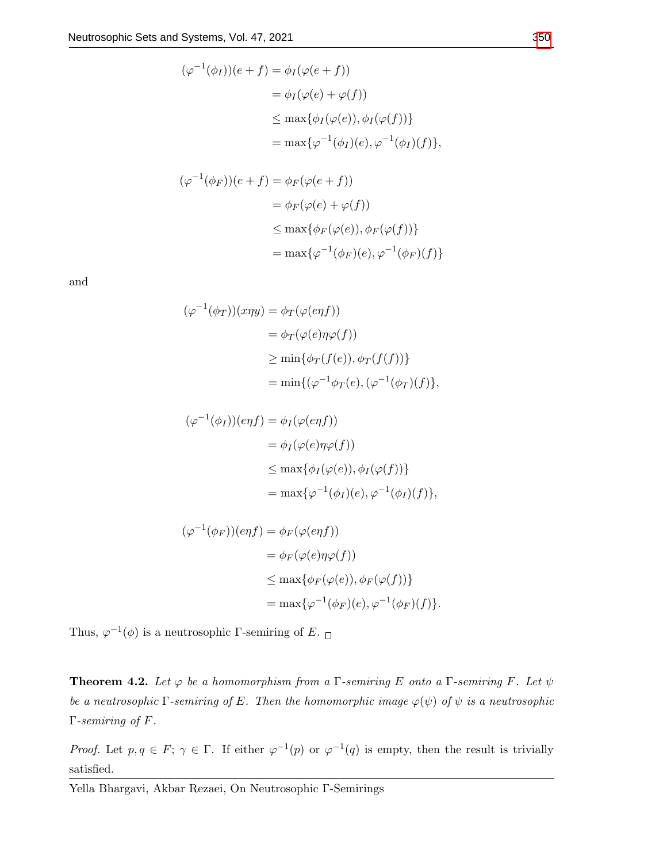$$
(\varphi^{-1}(\phi_I))(e+f) = \phi_I(\varphi(e+f))
$$
  
=  $\phi_I(\varphi(e) + \varphi(f))$   
 $\leq \max{\phi_I(\varphi(e)), \phi_I(\varphi(f))}$   
 $= \max{\varphi^{-1}(\phi_I)(e), \varphi^{-1}(\phi_I)(f)}$ ,

$$
(\varphi^{-1}(\phi_F))(e+f) = \phi_F(\varphi(e+f))
$$
  
=  $\phi_F(\varphi(e) + \varphi(f))$   
 $\leq \max{\phi_F(\varphi(e)), \phi_F(\varphi(f))}$   
 $= \max{\varphi^{-1}(\phi_F)(e), \varphi^{-1}(\phi_F)(f)}$ 

$$
(\varphi^{-1}(\phi_T))(x\eta y) = \phi_T(\varphi(enf))
$$
  
=  $\phi_T(\varphi(e)\eta\varphi(f))$   
 $\geq \min{\phi_T(f(e)), \phi_T(f(f))}$   
 $= \min{\{\varphi^{-1}\phi_T(e), (\varphi^{-1}(\phi_T)(f)\}},$ 

$$
(\varphi^{-1}(\phi_I))(eqf) = \phi_I(\varphi(eqf))
$$
  
=  $\phi_I(\varphi(e)\eta\varphi(f))$   
 $\leq \max{\phi_I(\varphi(e)), \phi_I(\varphi(f))}$   
 $= \max{\varphi^{-1}(\phi_I)(e), \varphi^{-1}(\phi_I)(f)}$ ,

$$
(\varphi^{-1}(\phi_F))(eqf) = \phi_F(\varphi(eqf))
$$
  
=  $\phi_F(\varphi(e)\eta\varphi(f))$   
 $\leq \max{\phi_F(\varphi(e)), \phi_F(\varphi(f))}$   
 $= \max{\varphi^{-1}(\phi_F)(e), \varphi^{-1}(\phi_F)(f)}.$ 

Thus,  $\varphi^{-1}(\phi)$  is a neutrosophic Γ-semiring of E.

**Theorem 4.2.** Let  $\varphi$  be a homomorphism from a  $\Gamma$ -semiring E onto a  $\Gamma$ -semiring F. Let  $\psi$ be a neutrosophic  $\Gamma$ -semiring of E. Then the homomorphic image  $\varphi(\psi)$  of  $\psi$  is a neutrosophic Γ-semiring of F.

*Proof.* Let  $p, q \in F$ ;  $\gamma \in \Gamma$ . If either  $\varphi^{-1}(p)$  or  $\varphi^{-1}(q)$  is empty, then the result is trivially satisfied.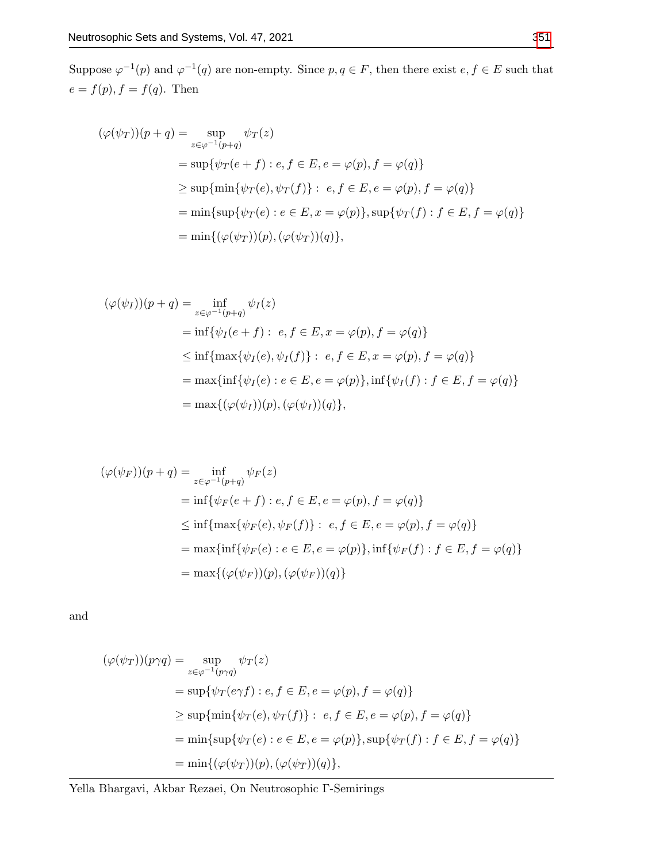Suppose  $\varphi^{-1}(p)$  and  $\varphi^{-1}(q)$  are non-empty. Since  $p, q \in F$ , then there exist  $e, f \in E$  such that  $e = f(p), f = f(q).$  Then

$$
(\varphi(\psi_T))(p+q) = \sup_{z \in \varphi^{-1}(p+q)} \psi_T(z)
$$
  
= 
$$
\sup \{\psi_T(e+f) : e, f \in E, e = \varphi(p), f = \varphi(q)\}
$$
  

$$
\geq \sup \{\min \{\psi_T(e), \psi_T(f)\} : e, f \in E, e = \varphi(p), f = \varphi(q)\}
$$
  
= 
$$
\min \{\sup \{\psi_T(e) : e \in E, x = \varphi(p)\}, \sup \{\psi_T(f) : f \in E, f = \varphi(q)\}
$$
  
= 
$$
\min \{(\varphi(\psi_T))(p), (\varphi(\psi_T))(q)\},
$$

$$
(\varphi(\psi_I))(p+q) = \inf_{z \in \varphi^{-1}(p+q)} \psi_I(z)
$$
  
\n
$$
= \inf \{ \psi_I(e+f) : e, f \in E, x = \varphi(p), f = \varphi(q) \}
$$
  
\n
$$
\leq \inf \{ \max \{ \psi_I(e), \psi_I(f) \} : e, f \in E, x = \varphi(p), f = \varphi(q) \}
$$
  
\n
$$
= \max \{ \inf \{ \psi_I(e) : e \in E, e = \varphi(p) \}, \inf \{ \psi_I(f) : f \in E, f = \varphi(q) \}
$$
  
\n
$$
= \max \{ (\varphi(\psi_I))(p), (\varphi(\psi_I))(q) \},
$$

$$
(\varphi(\psi_F))(p+q) = \inf_{z \in \varphi^{-1}(p+q)} \psi_F(z)
$$
  
\n
$$
= \inf \{ \psi_F(e+f) : e, f \in E, e = \varphi(p), f = \varphi(q) \}
$$
  
\n
$$
\leq \inf \{ \max \{ \psi_F(e), \psi_F(f) \} : e, f \in E, e = \varphi(p), f = \varphi(q) \}
$$
  
\n
$$
= \max \{ \inf \{ \psi_F(e) : e \in E, e = \varphi(p) \}, \inf \{ \psi_F(f) : f \in E, f = \varphi(q) \}
$$
  
\n
$$
= \max \{ (\varphi(\psi_F))(p), (\varphi(\psi_F))(q) \}
$$

and

$$
(\varphi(\psi_T))(p\gamma q) = \sup_{z \in \varphi^{-1}(p\gamma q)} \psi_T(z)
$$
  
= 
$$
\sup \{ \psi_T(e\gamma f) : e, f \in E, e = \varphi(p), f = \varphi(q) \}
$$
  

$$
\geq \sup \{ \min \{ \psi_T(e), \psi_T(f) \} : e, f \in E, e = \varphi(p), f = \varphi(q) \}
$$
  
= 
$$
\min \{ \sup \{ \psi_T(e) : e \in E, e = \varphi(p) \}, \sup \{ \psi_T(f) : f \in E, f = \varphi(q) \}
$$
  
= 
$$
\min \{ (\varphi(\psi_T))(p), (\varphi(\psi_T))(q) \},
$$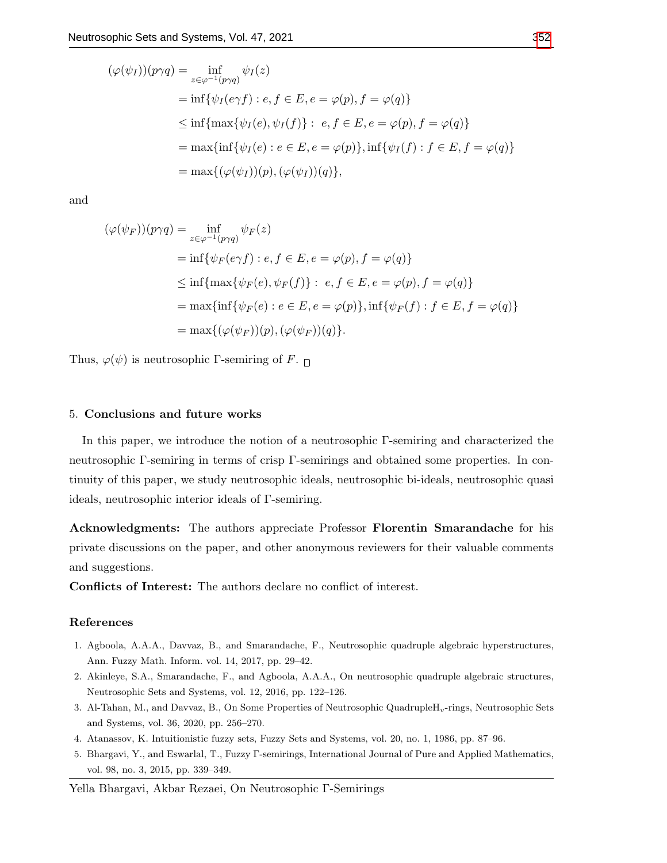$$
(\varphi(\psi_I))(p\gamma q) = \inf_{z \in \varphi^{-1}(p\gamma q)} \psi_I(z)
$$
  
=  $\inf \{\psi_I(e\gamma f) : e, f \in E, e = \varphi(p), f = \varphi(q)\}$   
 $\leq \inf \{\max \{\psi_I(e), \psi_I(f)\} : e, f \in E, e = \varphi(p), f = \varphi(q)\}$   
=  $\max \{\inf \{\psi_I(e) : e \in E, e = \varphi(p)\}, \inf \{\psi_I(f) : f \in E, f = \varphi(q)\}$   
=  $\max \{(\varphi(\psi_I))(p), (\varphi(\psi_I))(q)\},$ 

$$
(\varphi(\psi_F))(p\gamma q) = \inf_{z \in \varphi^{-1}(p\gamma q)} \psi_F(z)
$$
  
=  $\inf \{ \psi_F(e\gamma f) : e, f \in E, e = \varphi(p), f = \varphi(q) \}$   

$$
\leq \inf \{ \max \{ \psi_F(e), \psi_F(f) \} : e, f \in E, e = \varphi(p), f = \varphi(q) \}
$$
  
=  $\max \{ \inf \{ \psi_F(e) : e \in E, e = \varphi(p) \}, \inf \{ \psi_F(f) : f \in E, f = \varphi(q) \}$   
=  $\max \{ (\varphi(\psi_F))(p), (\varphi(\psi_F))(q) \}.$ 

Thus,  $\varphi(\psi)$  is neutrosophic Γ-semiring of F.  $\Box$ 

### 5. Conclusions and future works

In this paper, we introduce the notion of a neutrosophic Γ-semiring and characterized the neutrosophic Γ-semiring in terms of crisp Γ-semirings and obtained some properties. In continuity of this paper, we study neutrosophic ideals, neutrosophic bi-ideals, neutrosophic quasi ideals, neutrosophic interior ideals of Γ-semiring.

Acknowledgments: The authors appreciate Professor Florentin Smarandache for his private discussions on the paper, and other anonymous reviewers for their valuable comments and suggestions.

Conflicts of Interest: The authors declare no conflict of interest.

### References

- <span id="page-14-2"></span>1. Agboola, A.A.A., Davvaz, B., and Smarandache, F., Neutrosophic quadruple algebraic hyperstructures, Ann. Fuzzy Math. Inform. vol. 14, 2017, pp. 29–42.
- <span id="page-14-3"></span>2. Akinleye, S.A., Smarandache, F., and Agboola, A.A.A., On neutrosophic quadruple algebraic structures, Neutrosophic Sets and Systems, vol. 12, 2016, pp. 122–126.
- <span id="page-14-1"></span>3. Al-Tahan, M., and Davvaz, B., On Some Properties of Neutrosophic QuadrupleH<sub>v</sub>-rings, Neutrosophic Sets and Systems, vol. 36, 2020, pp. 256–270.
- <span id="page-14-0"></span>4. Atanassov, K. Intuitionistic fuzzy sets, Fuzzy Sets and Systems, vol. 20, no. 1, 1986, pp. 87–96.
- <span id="page-14-4"></span>5. Bhargavi, Y., and Eswarlal, T., Fuzzy Γ-semirings, International Journal of Pure and Applied Mathematics, vol. 98, no. 3, 2015, pp. 339–349.